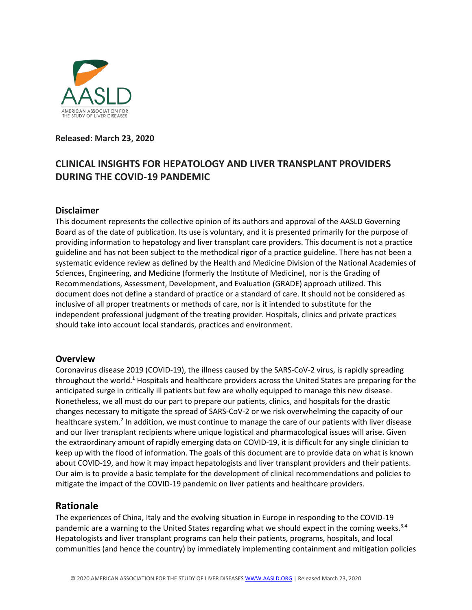

#### **Released: March 23, 2020**

# **CLINICAL INSIGHTS FOR HEPATOLOGY AND LIVER TRANSPLANT PROVIDERS DURING THE COVID-19 PANDEMIC**

#### **Disclaimer**

This document represents the collective opinion of its authors and approval of the AASLD Governing Board as of the date of publication. Its use is voluntary, and it is presented primarily for the purpose of providing information to hepatology and liver transplant care providers. This document is not a practice guideline and has not been subject to the methodical rigor of a practice guideline. There has not been a systematic evidence review as defined by the Health and Medicine Division of the National Academies of Sciences, Engineering, and Medicine (formerly the Institute of Medicine), nor is the Grading of Recommendations, Assessment, Development, and Evaluation (GRADE) approach utilized. This document does not define a standard of practice or a standard of care. It should not be considered as inclusive of all proper treatments or methods of care, nor is it intended to substitute for the independent professional judgment of the treating provider. Hospitals, clinics and private practices should take into account local standards, practices and environment.

#### **Overview**

Coronavirus disease 2019 (COVID-19), the illness caused by the SARS-CoV-2 virus, is rapidly spreading throughout the world.<sup>1</sup> Hospitals and healthcare providers across the United States are preparing for the anticipated surge in critically ill patients but few are wholly equipped to manage this new disease. Nonetheless, we all must do our part to prepare our patients, clinics, and hospitals for the drastic changes necessary to mitigate the spread of SARS-CoV-2 or we risk overwhelming the capacity of our healthcare system.<sup>2</sup> In addition, we must continue to manage the care of our patients with liver disease and our liver transplant recipients where unique logistical and pharmacological issues will arise. Given the extraordinary amount of rapidly emerging data on COVID-19, it is difficult for any single clinician to keep up with the flood of information. The goals of this document are to provide data on what is known about COVID-19, and how it may impact hepatologists and liver transplant providers and their patients. Our aim is to provide a basic template for the development of clinical recommendations and policies to mitigate the impact of the COVID-19 pandemic on liver patients and healthcare providers.

## **Rationale**

The experiences of China, Italy and the evolving situation in Europe in responding to the COVID-19 pandemic are a warning to the United States regarding what we should expect in the coming weeks.<sup>3,4</sup> Hepatologists and liver transplant programs can help their patients, programs, hospitals, and local communities (and hence the country) by immediately implementing containment and mitigation policies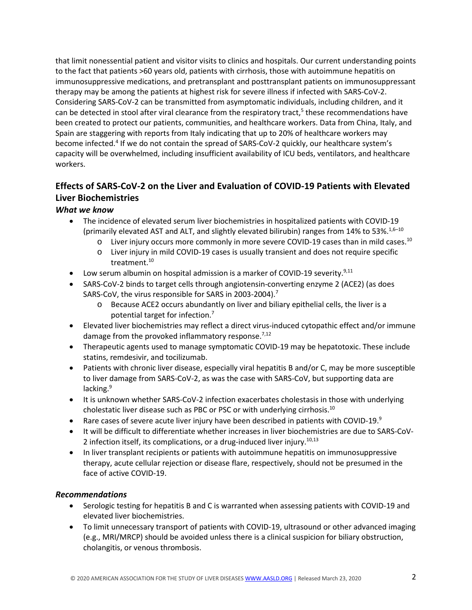that limit nonessential patient and visitor visits to clinics and hospitals. Our current understanding points to the fact that patients >60 years old, patients with cirrhosis, those with autoimmune hepatitis on immunosuppressive medications, and pretransplant and posttransplant patients on immunosuppressant therapy may be among the patients at highest risk for severe illness if infected with SARS-CoV-2. Considering SARS-CoV-2 can be transmitted from asymptomatic individuals, including children, and it can be detected in stool after viral clearance from the respiratory tract, $5$  these recommendations have been created to protect our patients, communities, and healthcare workers. Data from China, Italy, and Spain are staggering with reports from Italy indicating that up to 20% of healthcare workers may become infected.4 If we do not contain the spread of SARS-CoV-2 quickly, our healthcare system's capacity will be overwhelmed, including insufficient availability of ICU beds, ventilators, and healthcare workers.

# **Effects of SARS-CoV-2 on the Liver and Evaluation of COVID-19 Patients with Elevated Liver Biochemistries**

## *What we know*

- The incidence of elevated serum liver biochemistries in hospitalized patients with COVID-19 (primarily elevated AST and ALT, and slightly elevated bilirubin) ranges from 14% to 53%.<sup>1,6–10</sup>
	- $\circ$  Liver injury occurs more commonly in more severe COVID-19 cases than in mild cases.<sup>10</sup>
	- o Liver injury in mild COVID-19 cases is usually transient and does not require specific treatment.10
- Low serum albumin on hospital admission is a marker of COVID-19 severity.<sup>9,11</sup>
- SARS-CoV-2 binds to target cells through angiotensin-converting enzyme 2 (ACE2) (as does SARS-CoV, the virus responsible for SARS in 2003-2004).7
	- o Because ACE2 occurs abundantly on liver and biliary epithelial cells, the liver is a potential target for infection.7
- Elevated liver biochemistries may reflect a direct virus-induced cytopathic effect and/or immune damage from the provoked inflammatory response.<sup>7,12</sup>
- Therapeutic agents used to manage symptomatic COVID-19 may be hepatotoxic. These include statins, remdesivir, and tocilizumab.
- Patients with chronic liver disease, especially viral hepatitis B and/or C, may be more susceptible to liver damage from SARS-CoV-2, as was the case with SARS-CoV, but supporting data are lacking.<sup>9</sup>
- It is unknown whether SARS-CoV-2 infection exacerbates cholestasis in those with underlying cholestatic liver disease such as PBC or PSC or with underlying cirrhosis.10
- Rare cases of severe acute liver injury have been described in patients with COVID-19. $9$
- It will be difficult to differentiate whether increases in liver biochemistries are due to SARS-CoV-2 infection itself, its complications, or a drug-induced liver injury.<sup>10,13</sup>
- In liver transplant recipients or patients with autoimmune hepatitis on immunosuppressive therapy, acute cellular rejection or disease flare, respectively, should not be presumed in the face of active COVID-19.

- Serologic testing for hepatitis B and C is warranted when assessing patients with COVID-19 and elevated liver biochemistries.
- To limit unnecessary transport of patients with COVID-19, ultrasound or other advanced imaging (e.g., MRI/MRCP) should be avoided unless there is a clinical suspicion for biliary obstruction, cholangitis, or venous thrombosis.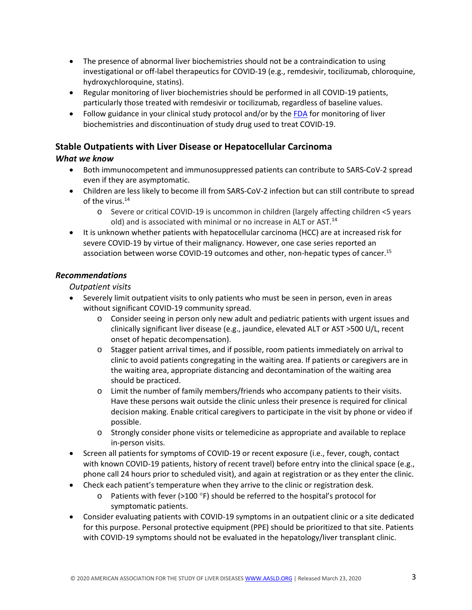- The presence of abnormal liver biochemistries should not be a contraindication to using investigational or off-label therapeutics for COVID-19 (e.g., remdesivir, tocilizumab, chloroquine, hydroxychloroquine, statins).
- Regular monitoring of liver biochemistries should be performed in all COVID-19 patients, particularly those treated with remdesivir or tocilizumab, regardless of baseline values.
- Follow guidance in your clinical study protocol and/or by the [FDA](https://www.fda.gov/media/116737/download) for monitoring of liver biochemistries and discontinuation of study drug used to treat COVID-19.

## **Stable Outpatients with Liver Disease or Hepatocellular Carcinoma**

#### *What we know*

- Both immunocompetent and immunosuppressed patients can contribute to SARS-CoV-2 spread even if they are asymptomatic.
- Children are less likely to become ill from SARS-CoV-2 infection but can still contribute to spread of the virus.<sup>14</sup>
	- o Severe or critical COVID-19 is uncommon in children (largely affecting children <5 years old) and is associated with minimal or no increase in ALT or AST.<sup>14</sup>
- It is unknown whether patients with hepatocellular carcinoma (HCC) are at increased risk for severe COVID-19 by virtue of their malignancy. However, one case series reported an association between worse COVID-19 outcomes and other, non-hepatic types of cancer.<sup>15</sup>

## *Recommendations*

*Outpatient visits*

- Severely limit outpatient visits to only patients who must be seen in person, even in areas without significant COVID-19 community spread.
	- o Consider seeing in person only new adult and pediatric patients with urgent issues and clinically significant liver disease (e.g., jaundice, elevated ALT or AST >500 U/L, recent onset of hepatic decompensation).
	- o Stagger patient arrival times, and if possible, room patients immediately on arrival to clinic to avoid patients congregating in the waiting area. If patients or caregivers are in the waiting area, appropriate distancing and decontamination of the waiting area should be practiced.
	- o Limit the number of family members/friends who accompany patients to their visits. Have these persons wait outside the clinic unless their presence is required for clinical decision making. Enable critical caregivers to participate in the visit by phone or video if possible.
	- o Strongly consider phone visits or telemedicine as appropriate and available to replace in-person visits.
- Screen all patients for symptoms of COVID-19 or recent exposure (i.e., fever, cough, contact with known COVID-19 patients, history of recent travel) before entry into the clinical space (e.g., phone call 24 hours prior to scheduled visit), and again at registration or as they enter the clinic.
- Check each patient's temperature when they arrive to the clinic or registration desk.
	- $\circ$  Patients with fever (>100 °F) should be referred to the hospital's protocol for symptomatic patients.
- Consider evaluating patients with COVID-19 symptoms in an outpatient clinic or a site dedicated for this purpose. Personal protective equipment (PPE) should be prioritized to that site. Patients with COVID-19 symptoms should not be evaluated in the hepatology/liver transplant clinic.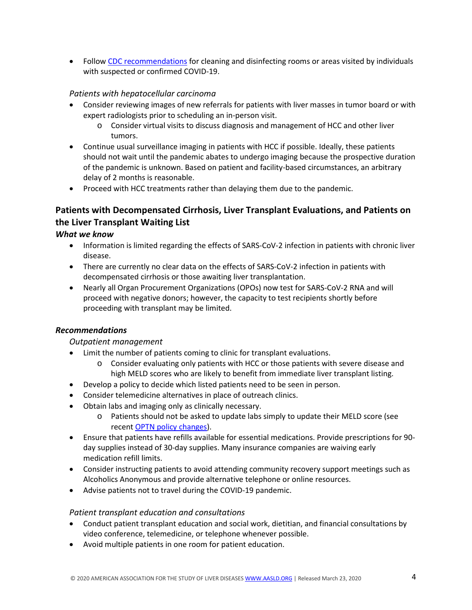• Follow [CDC recommendations](https://www.cdc.gov/coronavirus/2019-ncov/community/organizations/cleaning-disinfection.html) for cleaning and disinfecting rooms or areas visited by individuals with suspected or confirmed COVID-19.

## *Patients with hepatocellular carcinoma*

- Consider reviewing images of new referrals for patients with liver masses in tumor board or with expert radiologists prior to scheduling an in-person visit.
	- $\circ$  Consider virtual visits to discuss diagnosis and management of HCC and other liver tumors.
- Continue usual surveillance imaging in patients with HCC if possible. Ideally, these patients should not wait until the pandemic abates to undergo imaging because the prospective duration of the pandemic is unknown. Based on patient and facility-based circumstances, an arbitrary delay of 2 months is reasonable.
- Proceed with HCC treatments rather than delaying them due to the pandemic.

## **Patients with Decompensated Cirrhosis, Liver Transplant Evaluations, and Patients on the Liver Transplant Waiting List**

## *What we know*

- Information is limited regarding the effects of SARS-CoV-2 infection in patients with chronic liver disease.
- There are currently no clear data on the effects of SARS-CoV-2 infection in patients with decompensated cirrhosis or those awaiting liver transplantation.
- Nearly all Organ Procurement Organizations (OPOs) now test for SARS-CoV-2 RNA and will proceed with negative donors; however, the capacity to test recipients shortly before proceeding with transplant may be limited.

## *Recommendations*

## *Outpatient management*

- Limit the number of patients coming to clinic for transplant evaluations.
	- o Consider evaluating only patients with HCC or those patients with severe disease and high MELD scores who are likely to benefit from immediate liver transplant listing.
- Develop a policy to decide which listed patients need to be seen in person.
- Consider telemedicine alternatives in place of outreach clinics.
- Obtain labs and imaging only as clinically necessary.
	- o Patients should not be asked to update labs simply to update their MELD score (see recen[t OPTN policy changes\)](https://unos.org/news/member-information-regarding-covid-19/).
- Ensure that patients have refills available for essential medications. Provide prescriptions for 90 day supplies instead of 30-day supplies. Many insurance companies are waiving early medication refill limits.
- Consider instructing patients to avoid attending community recovery support meetings such as Alcoholics Anonymous and provide alternative telephone or online resources.
- Advise patients not to travel during the COVID-19 pandemic.

## *Patient transplant education and consultations*

- Conduct patient transplant education and social work, dietitian, and financial consultations by video conference, telemedicine, or telephone whenever possible.
- Avoid multiple patients in one room for patient education.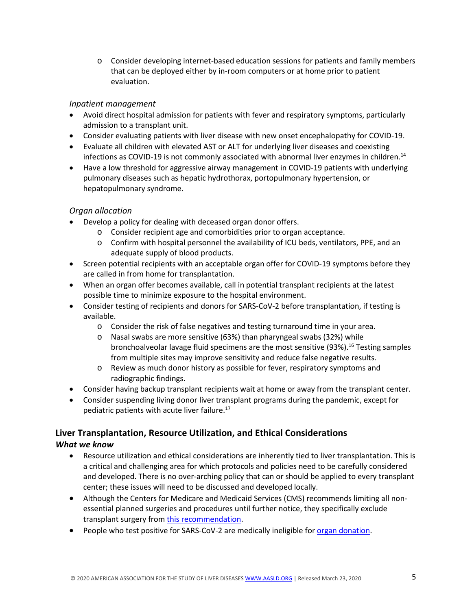o Consider developing internet-based education sessions for patients and family members that can be deployed either by in-room computers or at home prior to patient evaluation.

## *Inpatient management*

- Avoid direct hospital admission for patients with fever and respiratory symptoms, particularly admission to a transplant unit.
- Consider evaluating patients with liver disease with new onset encephalopathy for COVID-19.
- Evaluate all children with elevated AST or ALT for underlying liver diseases and coexisting infections as COVID-19 is not commonly associated with abnormal liver enzymes in children.<sup>14</sup>
- Have a low threshold for aggressive airway management in COVID-19 patients with underlying pulmonary diseases such as hepatic hydrothorax, portopulmonary hypertension, or hepatopulmonary syndrome.

## *Organ allocation*

- Develop a policy for dealing with deceased organ donor offers.
	- o Consider recipient age and comorbidities prior to organ acceptance.
	- o Confirm with hospital personnel the availability of ICU beds, ventilators, PPE, and an adequate supply of blood products.
- Screen potential recipients with an acceptable organ offer for COVID-19 symptoms before they are called in from home for transplantation.
- When an organ offer becomes available, call in potential transplant recipients at the latest possible time to minimize exposure to the hospital environment.
- Consider testing of recipients and donors for SARS-CoV-2 before transplantation, if testing is available.
	- o Consider the risk of false negatives and testing turnaround time in your area.
	- o Nasal swabs are more sensitive (63%) than pharyngeal swabs (32%) while bronchoalveolar lavage fluid specimens are the most sensitive (93%).<sup>16</sup> Testing samples from multiple sites may improve sensitivity and reduce false negative results.
	- o Review as much donor history as possible for fever, respiratory symptoms and radiographic findings.
- Consider having backup transplant recipients wait at home or away from the transplant center.
- Consider suspending living donor liver transplant programs during the pandemic, except for pediatric patients with acute liver failure.17

# **Liver Transplantation, Resource Utilization, and Ethical Considerations**

- Resource utilization and ethical considerations are inherently tied to liver transplantation. This is a critical and challenging area for which protocols and policies need to be carefully considered and developed. There is no over-arching policy that can or should be applied to every transplant center; these issues will need to be discussed and developed locally.
- Although the Centers for Medicare and Medicaid Services (CMS) recommends limiting all nonessential planned surgeries and procedures until further notice, they specifically exclude transplant surgery fro[m this recommendation.](https://www.cms.gov/files/document/31820-cms-adult-elective-surgery-and-procedures-recommendations.pdf)
- People who test positive for SARS-CoV-2 are medically ineligible for [organ donation.](https://www.aopo.org/information-about-covid-19-coronavirus-is-being-released-rapidly-we-will-post-updates-as-we-receive-them/)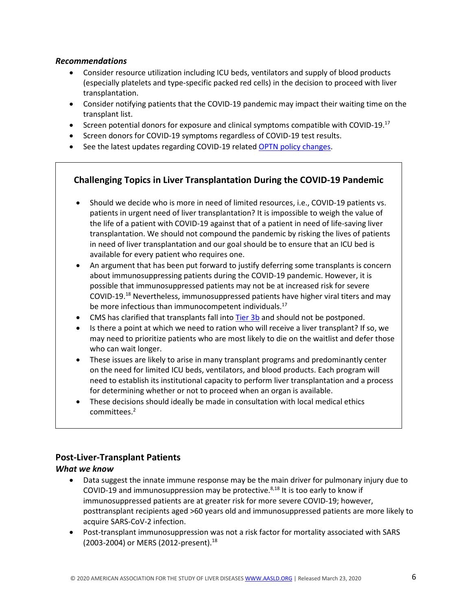#### *Recommendations*

- Consider resource utilization including ICU beds, ventilators and supply of blood products (especially platelets and type-specific packed red cells) in the decision to proceed with liver transplantation.
- Consider notifying patients that the COVID-19 pandemic may impact their waiting time on the transplant list.
- Screen potential donors for exposure and clinical symptoms compatible with COVID-19. $^{17}$
- Screen donors for COVID-19 symptoms regardless of COVID-19 test results.
- See the latest updates regarding COVID-19 relate[d OPTN policy changes.](https://unos.org/news/member-information-regarding-covid-19/)

## **Challenging Topics in Liver Transplantation During the COVID-19 Pandemic**

- Should we decide who is more in need of limited resources, i.e., COVID-19 patients vs. patients in urgent need of liver transplantation? It is impossible to weigh the value of the life of a patient with COVID-19 against that of a patient in need of life-saving liver transplantation. We should not compound the pandemic by risking the lives of patients in need of liver transplantation and our goal should be to ensure that an ICU bed is available for every patient who requires one.
- An argument that has been put forward to justify deferring some transplants is concern about immunosuppressing patients during the COVID-19 pandemic. However, it is possible that immunosuppressed patients may not be at increased risk for severe COVID-19.18 Nevertheless, immunosuppressed patients have higher viral titers and may be more infectious than immunocompetent individuals.<sup>17</sup>
- CMS has clarified that transplants fall into [Tier 3b](https://www.cms.gov/files/document/31820-cms-adult-elective-surgery-and-procedures-recommendations.pdf) and should not be postponed.
- Is there a point at which we need to ration who will receive a liver transplant? If so, we may need to prioritize patients who are most likely to die on the waitlist and defer those who can wait longer.
- These issues are likely to arise in many transplant programs and predominantly center on the need for limited ICU beds, ventilators, and blood products. Each program will need to establish its institutional capacity to perform liver transplantation and a process for determining whether or not to proceed when an organ is available.
- These decisions should ideally be made in consultation with local medical ethics committees. 2

## **Post-Liver-Transplant Patients**

- Data suggest the innate immune response may be the main driver for pulmonary injury due to COVID-19 and immunosuppression may be protective. $8,18$  It is too early to know if immunosuppressed patients are at greater risk for more severe COVID-19; however, posttransplant recipients aged >60 years old and immunosuppressed patients are more likely to acquire SARS-CoV-2 infection.
- Post-transplant immunosuppression was not a risk factor for mortality associated with SARS (2003-2004) or MERS (2012-present). 18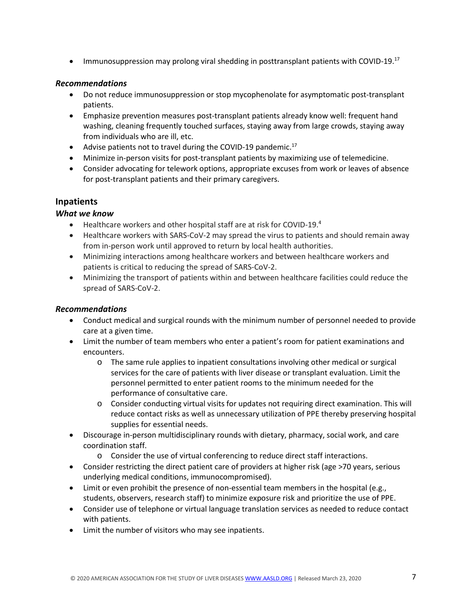• Immunosuppression may prolong viral shedding in posttransplant patients with COVID-19.<sup>17</sup>

#### *Recommendations*

- Do not reduce immunosuppression or stop mycophenolate for asymptomatic post-transplant patients.
- Emphasize prevention measures post-transplant patients already know well: frequent hand washing, cleaning frequently touched surfaces, staying away from large crowds, staying away from individuals who are ill, etc.
- Advise patients not to travel during the COVID-19 pandemic.<sup>17</sup>
- Minimize in-person visits for post-transplant patients by maximizing use of telemedicine.
- Consider advocating for telework options, appropriate excuses from work or leaves of absence for post-transplant patients and their primary caregivers.

## **Inpatients**

#### *What we know*

- Healthcare workers and other hospital staff are at risk for COVID-19.4
- Healthcare workers with SARS-CoV-2 may spread the virus to patients and should remain away from in-person work until approved to return by local health authorities.
- Minimizing interactions among healthcare workers and between healthcare workers and patients is critical to reducing the spread of SARS-CoV-2.
- Minimizing the transport of patients within and between healthcare facilities could reduce the spread of SARS-CoV-2.

- Conduct medical and surgical rounds with the minimum number of personnel needed to provide care at a given time.
- Limit the number of team members who enter a patient's room for patient examinations and encounters.
	- o The same rule applies to inpatient consultations involving other medical or surgical services for the care of patients with liver disease or transplant evaluation. Limit the personnel permitted to enter patient rooms to the minimum needed for the performance of consultative care.
	- o Consider conducting virtual visits for updates not requiring direct examination. This will reduce contact risks as well as unnecessary utilization of PPE thereby preserving hospital supplies for essential needs.
- Discourage in-person multidisciplinary rounds with dietary, pharmacy, social work, and care coordination staff.
	- o Consider the use of virtual conferencing to reduce direct staff interactions.
- Consider restricting the direct patient care of providers at higher risk (age >70 years, serious underlying medical conditions, immunocompromised).
- Limit or even prohibit the presence of non-essential team members in the hospital (e.g., students, observers, research staff) to minimize exposure risk and prioritize the use of PPE.
- Consider use of telephone or virtual language translation services as needed to reduce contact with patients.
- Limit the number of visitors who may see inpatients.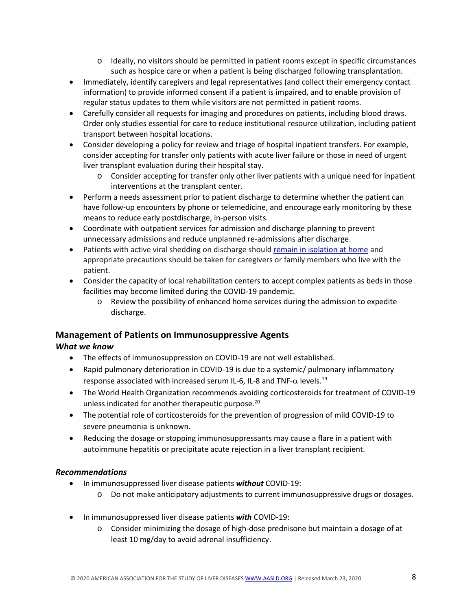- o Ideally, no visitors should be permitted in patient rooms except in specific circumstances such as hospice care or when a patient is being discharged following transplantation.
- Immediately, identify caregivers and legal representatives (and collect their emergency contact information) to provide informed consent if a patient is impaired, and to enable provision of regular status updates to them while visitors are not permitted in patient rooms.
- Carefully consider all requests for imaging and procedures on patients, including blood draws. Order only studies essential for care to reduce institutional resource utilization, including patient transport between hospital locations.
- Consider developing a policy for review and triage of hospital inpatient transfers. For example, consider accepting for transfer only patients with acute liver failure or those in need of urgent liver transplant evaluation during their hospital stay.
	- o Consider accepting for transfer only other liver patients with a unique need for inpatient interventions at the transplant center.
- Perform a needs assessment prior to patient discharge to determine whether the patient can have follow-up encounters by phone or telemedicine, and encourage early monitoring by these means to reduce early postdischarge, in-person visits.
- Coordinate with outpatient services for admission and discharge planning to prevent unnecessary admissions and reduce unplanned re-admissions after discharge.
- Patients with active viral shedding on discharge should [remain in isolation at home](https://www.cdc.gov/coronavirus/2019-ncov/hcp/disposition-hospitalized-patients.html) and appropriate precautions should be taken for caregivers or family members who live with the patient.
- Consider the capacity of local rehabilitation centers to accept complex patients as beds in those facilities may become limited during the COVID-19 pandemic.
	- o Review the possibility of enhanced home services during the admission to expedite discharge.

## **Management of Patients on Immunosuppressive Agents**

## *What we know*

- The effects of immunosuppression on COVID-19 are not well established.
- Rapid pulmonary deterioration in COVID-19 is due to a systemic/ pulmonary inflammatory response associated with increased serum IL-6, IL-8 and TNF- $\alpha$  levels.<sup>19</sup>
- The World Health Organization recommends avoiding corticosteroids for treatment of COVID-19 unless indicated for another therapeutic purpose. 20
- The potential role of corticosteroids for the prevention of progression of mild COVID-19 to severe pneumonia is unknown.
- Reducing the dosage or stopping immunosuppressants may cause a flare in a patient with autoimmune hepatitis or precipitate acute rejection in a liver transplant recipient.

- In immunosuppressed liver disease patients *without* COVID-19:
	- o Do not make anticipatory adjustments to current immunosuppressive drugs or dosages.
- In immunosuppressed liver disease patients *with* COVID-19:
	- o Consider minimizing the dosage of high-dose prednisone but maintain a dosage of at least 10 mg/day to avoid adrenal insufficiency.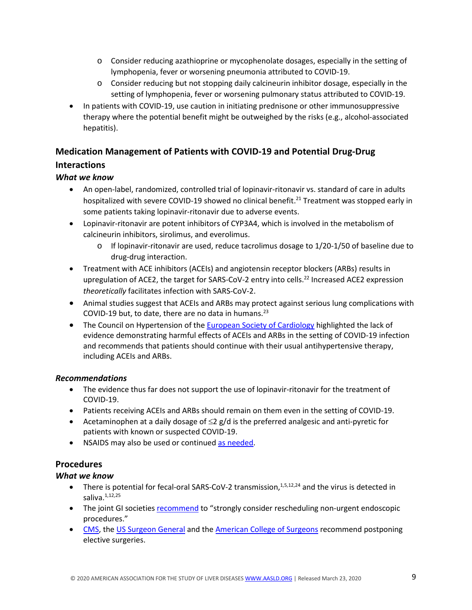- o Consider reducing azathioprine or mycophenolate dosages, especially in the setting of lymphopenia, fever or worsening pneumonia attributed to COVID-19.
- o Consider reducing but not stopping daily calcineurin inhibitor dosage, especially in the setting of lymphopenia, fever or worsening pulmonary status attributed to COVID-19.
- In patients with COVID-19, use caution in initiating prednisone or other immunosuppressive therapy where the potential benefit might be outweighed by the risks (e.g., alcohol-associated hepatitis).

# **Medication Management of Patients with COVID-19 and Potential Drug-Drug**

## **Interactions**

## *What we know*

- An open-label, randomized, controlled trial of lopinavir-ritonavir vs. standard of care in adults hospitalized with severe COVID-19 showed no clinical benefit.<sup>21</sup> Treatment was stopped early in some patients taking lopinavir-ritonavir due to adverse events.
- Lopinavir-ritonavir are potent inhibitors of CYP3A4, which is involved in the metabolism of calcineurin inhibitors, sirolimus, and everolimus.
	- $\circ$  If lopinavir-ritonavir are used, reduce tacrolimus dosage to 1/20-1/50 of baseline due to drug-drug interaction.
- Treatment with ACE inhibitors (ACEIs) and angiotensin receptor blockers (ARBs) results in upregulation of ACE2, the target for SARS-CoV-2 entry into cells.<sup>22</sup> Increased ACE2 expression *theoretically* facilitates infection with SARS-CoV-2.
- Animal studies suggest that ACEIs and ARBs may protect against serious lung complications with COVID-19 but, to date, there are no data in humans.<sup>23</sup>
- The Council on Hypertension of th[e European Society of Cardiology](https://www.escardio.org/Councils/Council-on-Hypertension-(CHT)/News/position-statement-of-the-esc-council-on-hypertension-on-ace-inhibitors-and-ang) highlighted the lack of evidence demonstrating harmful effects of ACEIs and ARBs in the setting of COVID-19 infection and recommends that patients should continue with their usual antihypertensive therapy, including ACEIs and ARBs.

## *Recommendations*

- The evidence thus far does not support the use of lopinavir-ritonavir for the treatment of COVID-19.
- Patients receiving ACEIs and ARBs should remain on them even in the setting of COVID-19.
- Acetaminophen at a daily dosage of  $\leq$ 2 g/d is the preferred analgesic and anti-pyretic for patients with known or suspected COVID-19.
- NSAIDS may also be used or continued [as needed.](https://www.sciencealert.com/who-recommends-to-avoid-taking-ibuprofen-for-covid-19-symptoms/amp)

## **Procedures**

- There is potential for fecal-oral SARS-CoV-2 transmission,  $1,5,12,24$  and the virus is detected in saliva. $1,12,25$
- The joint GI societies [recommend](https://www.aasld.org/about-aasld/media/joint-gi-society-message-covid-19-clinical-insights-our-community) to "strongly consider rescheduling non-urgent endoscopic procedures."
- [CMS,](https://www.cms.gov/files/document/31820-cms-adult-elective-surgery-and-procedures-recommendations.pdf) the US [Surgeon General](https://www.politico.com/news/2020/03/14/surgeon-general-elective-surgeries-coronavirus-129405) and th[e American College of Surgeons](https://www.facs.org/about-acs/covid-19/information-for-surgeons/elective-surgery) recommend postponing elective surgeries.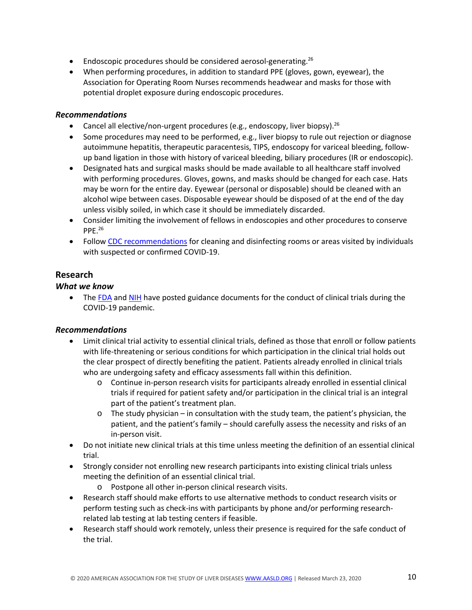- Endoscopic procedures should be considered aerosol-generating.<sup>26</sup>
- When performing procedures, in addition to standard PPE (gloves, gown, eyewear), the Association for Operating Room Nurses recommends headwear and masks for those with potential droplet exposure during endoscopic procedures.

#### *Recommendations*

- Cancel all elective/non-urgent procedures (e.g., endoscopy, liver biopsy).<sup>26</sup>
- Some procedures may need to be performed, e.g., liver biopsy to rule out rejection or diagnose autoimmune hepatitis, therapeutic paracentesis, TIPS, endoscopy for variceal bleeding, followup band ligation in those with history of variceal bleeding, biliary procedures (IR or endoscopic).
- Designated hats and surgical masks should be made available to all healthcare staff involved with performing procedures. Gloves, gowns, and masks should be changed for each case. Hats may be worn for the entire day. Eyewear (personal or disposable) should be cleaned with an alcohol wipe between cases. Disposable eyewear should be disposed of at the end of the day unless visibly soiled, in which case it should be immediately discarded.
- Consider limiting the involvement of fellows in endoscopies and other procedures to conserve PPE.26
- Follow [CDC recommendations](https://www.cdc.gov/coronavirus/2019-ncov/community/organizations/cleaning-disinfection.html) for cleaning and disinfecting rooms or areas visited by individuals with suspected or confirmed COVID-19.

## **Research**

#### *What we know*

• The [FDA](https://www.fda.gov/media/136238/download) and [NIH](https://grants.nih.gov/grants/guide/notice-files/NOT-OD-20-087.html) have posted guidance documents for the conduct of clinical trials during the COVID-19 pandemic.

- Limit clinical trial activity to essential clinical trials, defined as those that enroll or follow patients with life-threatening or serious conditions for which participation in the clinical trial holds out the clear prospect of directly benefiting the patient. Patients already enrolled in clinical trials who are undergoing safety and efficacy assessments fall within this definition.
	- o Continue in-person research visits for participants already enrolled in essential clinical trials if required for patient safety and/or participation in the clinical trial is an integral part of the patient's treatment plan.
	- o The study physician in consultation with the study team, the patient's physician, the patient, and the patient's family – should carefully assess the necessity and risks of an in-person visit.
- Do not initiate new clinical trials at this time unless meeting the definition of an essential clinical trial.
- Strongly consider not enrolling new research participants into existing clinical trials unless meeting the definition of an essential clinical trial.
	- o Postpone all other in-person clinical research visits.
- Research staff should make efforts to use alternative methods to conduct research visits or perform testing such as check-ins with participants by phone and/or performing researchrelated lab testing at lab testing centers if feasible.
- Research staff should work remotely, unless their presence is required for the safe conduct of the trial.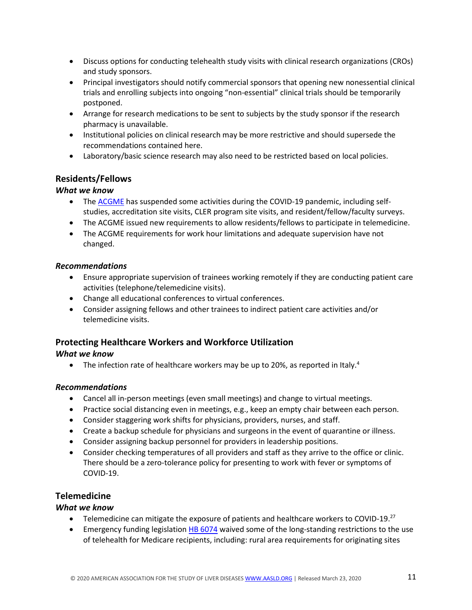- Discuss options for conducting telehealth study visits with clinical research organizations (CROs) and study sponsors.
- Principal investigators should notify commercial sponsors that opening new nonessential clinical trials and enrolling subjects into ongoing "non-essential" clinical trials should be temporarily postponed.
- Arrange for research medications to be sent to subjects by the study sponsor if the research pharmacy is unavailable.
- Institutional policies on clinical research may be more restrictive and should supersede the recommendations contained here.
- Laboratory/basic science research may also need to be restricted based on local policies.

## **Residents/Fellows**

## *What we know*

- The [ACGME](https://acgme.org/Newsroom/Newsroom-Details/ArticleID/10111/ACGME-Response-to-the-Coronavirus-COVID-19) has suspended some activities during the COVID-19 pandemic, including selfstudies, accreditation site visits, CLER program site visits, and resident/fellow/faculty surveys.
- The ACGME issued new requirements to allow residents/fellows to participate in telemedicine.
- The ACGME requirements for work hour limitations and adequate supervision have not changed.

#### *Recommendations*

- Ensure appropriate supervision of trainees working remotely if they are conducting patient care activities (telephone/telemedicine visits).
- Change all educational conferences to virtual conferences.
- Consider assigning fellows and other trainees to indirect patient care activities and/or telemedicine visits.

## **Protecting Healthcare Workers and Workforce Utilization**

## *What we know*

 $\bullet$  The infection rate of healthcare workers may be up to 20%, as reported in Italy.<sup>4</sup>

## *Recommendations*

- Cancel all in-person meetings (even small meetings) and change to virtual meetings.
- Practice social distancing even in meetings, e.g., keep an empty chair between each person.
- Consider staggering work shifts for physicians, providers, nurses, and staff.
- Create a backup schedule for physicians and surgeons in the event of quarantine or illness.
- Consider assigning backup personnel for providers in leadership positions.
- Consider checking temperatures of all providers and staff as they arrive to the office or clinic. There should be a zero-tolerance policy for presenting to work with fever or symptoms of COVID-19.

## **Telemedicine**

- Telemedicine can mitigate the exposure of patients and healthcare workers to COVID-19.<sup>27</sup>
- Emergency funding legislatio[n HB 6074](https://congress.gov/bill/116th-congress/house-bill/6074) waived some of the long-standing restrictions to the use of telehealth for Medicare recipients, including: rural area requirements for originating sites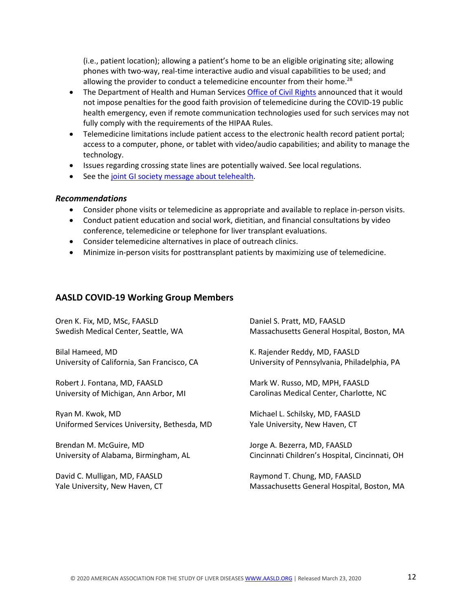(i.e., patient location); allowing a patient's home to be an eligible originating site; allowing phones with two-way, real-time interactive audio and visual capabilities to be used; and allowing the provider to conduct a telemedicine encounter from their home.<sup>28</sup>

- The Department of Health and Human Services [Office of Civil Rights](https://www.hhs.gov/hipaa/for-professionals/special-topics/emergency-preparedness/notification-enforcement-discretion-telehealth/index.html) announced that it would not impose penalties for the good faith provision of telemedicine during the COVID-19 public health emergency, even if remote communication technologies used for such services may not fully comply with the requirements of the HIPAA Rules.
- Telemedicine limitations include patient access to the electronic health record patient portal; access to a computer, phone, or tablet with video/audio capabilities; and ability to manage the technology.
- Issues regarding crossing state lines are potentially waived. See local regulations.
- See the [joint GI society message](https://www.aasld.org/sites/default/files/2020-03/Gastroenterology-COVID-19-20.03.19.pdf) about telehealth.

#### *Recommendations*

- Consider phone visits or telemedicine as appropriate and available to replace in-person visits.
- Conduct patient education and social work, dietitian, and financial consultations by video conference, telemedicine or telephone for liver transplant evaluations.
- Consider telemedicine alternatives in place of outreach clinics.
- Minimize in-person visits for posttransplant patients by maximizing use of telemedicine.

## **AASLD COVID-19 Working Group Members**

| Oren K. Fix, MD, MSc, FAASLD                | Daniel S. Pratt, MD, FAASLD                    |
|---------------------------------------------|------------------------------------------------|
| Swedish Medical Center, Seattle, WA         | Massachusetts General Hospital, Boston, MA     |
| Bilal Hameed, MD                            | K. Rajender Reddy, MD, FAASLD                  |
| University of California, San Francisco, CA | University of Pennsylvania, Philadelphia, PA   |
| Robert J. Fontana, MD, FAASLD               | Mark W. Russo, MD, MPH, FAASLD                 |
| University of Michigan, Ann Arbor, MI       | Carolinas Medical Center, Charlotte, NC        |
| Ryan M. Kwok, MD                            | Michael L. Schilsky, MD, FAASLD                |
| Uniformed Services University, Bethesda, MD | Yale University, New Haven, CT                 |
| Brendan M. McGuire, MD                      | Jorge A. Bezerra, MD, FAASLD                   |
| University of Alabama, Birmingham, AL       | Cincinnati Children's Hospital, Cincinnati, OH |
| David C. Mulligan, MD, FAASLD               | Raymond T. Chung, MD, FAASLD                   |
| Yale University, New Haven, CT              | Massachusetts General Hospital, Boston, MA     |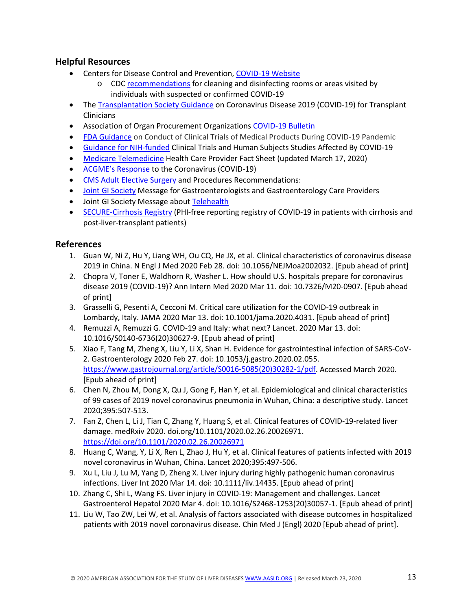## **Helpful Resources**

- Centers for Disease Control and Prevention, [COVID-19 Website](https://www.cdc.gov/coronavirus/2019-ncov/index.html)
	- o CDC [recommendations](https://www.cdc.gov/coronavirus/2019-ncov/community/organizations/cleaning-disinfection.html) for cleaning and disinfecting rooms or areas visited by individuals with suspected or confirmed COVID-19
- The [Transplantation Society Guidance](https://tts.org/tid-about/tid-presidents-message/23-tid/tid-news/657-tid-update-and-guidance-on-2019-novel-coronavirus-2019-ncov-for-transplant-id-clinicians) on Coronavirus Disease 2019 (COVID-19) for Transplant **Clinicians**
- Association of Organ Procurement Organizations [COVID-19 Bulletin](https://www.aopo.org/information-about-covid-19-coronavirus-is-being-released-rapidly-we-will-post-updates-as-we-receive-them/)
- [FDA Guidance](https://www.fda.gov/media/136238/download) on Conduct of Clinical Trials of Medical Products During COVID-19 Pandemic
- [Guidance for NIH-funded](https://grants.nih.gov/grants/guide/notice-files/NOT-OD-20-087.html) Clinical Trials and Human Subjects Studies Affected By COVID-19
- [Medicare Telemedicine](https://www.cms.gov/newsroom/fact-sheets/medicare-telemedicine-health-care-provider-fact-sheet) Health Care Provider Fact Sheet (updated March 17, 2020)
- [ACGME's Response](https://acgme.org/Newsroom/Newsroom-Details/ArticleID/10111/ACGME-Response-to-the-Coronavirus-COVID-19) to the Coronavirus (COVID-19)
- [CMS Adult Elective Surgery](https://www.cms.gov/files/document/31820-cms-adult-elective-surgery-and-procedures-recommendations.pdf) and Procedures Recommendations:
- [Joint GI Society](https://www.aasld.org/about-aasld/media/joint-gi-society-message-covid-19-clinical-insights-our-community) Message for Gastroenterologists and Gastroenterology Care Providers
- Joint GI Society Message about [Telehealth](https://www.aasld.org/sites/default/files/2020-03/Gastroenterology-COVID-19-20.03.19.pdf)
- [SECURE-Cirrhosis Registry](https://covidcirrhosis.web.unc.edu/) (PHI-free reporting registry of COVID-19 in patients with cirrhosis and post-liver-transplant patients)

#### **References**

- 1. Guan W, Ni Z, Hu Y, Liang WH, Ou CQ, He JX, et al. Clinical characteristics of coronavirus disease 2019 in China. N Engl J Med 2020 Feb 28. doi: 10.1056/NEJMoa2002032. [Epub ahead of print]
- 2. Chopra V, Toner E, Waldhorn R, Washer L. How should U.S. hospitals prepare for coronavirus disease 2019 (COVID-19)? Ann Intern Med 2020 Mar 11. doi: 10.7326/M20-0907. [Epub ahead of print]
- 3. Grasselli G, Pesenti A, Cecconi M. Critical care utilization for the COVID-19 outbreak in Lombardy, Italy. JAMA 2020 Mar 13. doi: 10.1001/jama.2020.4031. [Epub ahead of print]
- 4. Remuzzi A, Remuzzi G. COVID-19 and Italy: what next? Lancet. 2020 Mar 13. doi: 10.1016/S0140-6736(20)30627-9. [Epub ahead of print]
- 5. Xiao F, Tang M, Zheng X, Liu Y, Li X, Shan H. Evidence for gastrointestinal infection of SARS-CoV-2. Gastroenterology 2020 Feb 27. doi: 10.1053/j.gastro.2020.02.055. [https://www.gastrojournal.org/article/S0016-5085\(20\)30282-1/pdf.](https://www.gastrojournal.org/article/S0016-5085(20)30282-1/pdf) Accessed March 2020. [Epub ahead of print]
- 6. Chen N, Zhou M, Dong X, Qu J, Gong F, Han Y, et al. Epidemiological and clinical characteristics of 99 cases of 2019 novel coronavirus pneumonia in Wuhan, China: a descriptive study. Lancet 2020;395:507-513.
- 7. Fan Z, Chen L, Li J, Tian C, Zhang Y, Huang S, et al. Clinical features of COVID-19-related liver damage. medRxiv 2020. doi.org/10.1101/2020.02.26.20026971. <https://doi.org/10.1101/2020.02.26.20026971>
- 8. Huang C, Wang, Y, Li X, Ren L, Zhao J, Hu Y, et al. Clinical features of patients infected with 2019 novel coronavirus in Wuhan, China. Lancet 2020;395:497-506.
- 9. Xu L, Liu J, Lu M, Yang D, Zheng X. Liver injury during highly pathogenic human coronavirus infections. Liver Int 2020 Mar 14. doi: 10.1111/liv.14435. [Epub ahead of print]
- 10. Zhang C, Shi L, Wang FS. Liver injury in COVID-19: Management and challenges. Lancet Gastroenterol Hepatol 2020 Mar 4. doi: 10.1016/S2468-1253(20)30057-1. [Epub ahead of print]
- 11. Liu W, Tao ZW, Lei W, et al. Analysis of factors associated with disease outcomes in hospitalized patients with 2019 novel coronavirus disease. Chin Med J (Engl) 2020 [Epub ahead of print].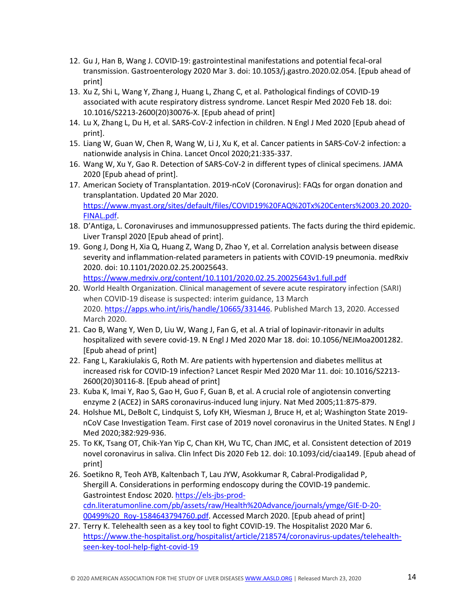- 12. Gu J, Han B, Wang J. COVID-19: gastrointestinal manifestations and potential fecal-oral transmission. Gastroenterology 2020 Mar 3. doi: 10.1053/j.gastro.2020.02.054. [Epub ahead of print]
- 13. Xu Z, Shi L, Wang Y, Zhang J, Huang L, Zhang C, et al. Pathological findings of COVID-19 associated with acute respiratory distress syndrome. Lancet Respir Med 2020 Feb 18. doi: 10.1016/S2213-2600(20)30076-X. [Epub ahead of print]
- 14. Lu X, Zhang L, Du H, et al. SARS-CoV-2 infection in children. N Engl J Med 2020 [Epub ahead of print].
- 15. Liang W, Guan W, Chen R, Wang W, Li J, Xu K, et al. Cancer patients in SARS-CoV-2 infection: a nationwide analysis in China. Lancet Oncol 2020;21:335-337.
- 16. Wang W, Xu Y, Gao R. Detection of SARS-CoV-2 in different types of clinical specimens. JAMA 2020 [Epub ahead of print].
- 17. American Society of Transplantation. 2019-nCoV (Coronavirus): FAQs for organ donation and transplantation. Updated 20 Mar 2020. [https://www.myast.org/sites/default/files/COVID19%20FAQ%20Tx%20Centers%2003.20.2020-](https://www.myast.org/sites/default/files/COVID19%20FAQ%20Tx%20Centers%2003.20.2020-FINAL.pdf) [FINAL.pdf.](https://www.myast.org/sites/default/files/COVID19%20FAQ%20Tx%20Centers%2003.20.2020-FINAL.pdf)
- 18. D'Antiga, L. Coronaviruses and immunosuppressed patients. The facts during the third epidemic. Liver Transpl 2020 [Epub ahead of print].
- 19. Gong J, Dong H, Xia Q, Huang Z, Wang D, Zhao Y, et al. Correlation analysis between disease severity and inflammation-related parameters in patients with COVID-19 pneumonia. medRxiv 2020. doi: 10.1101/2020.02.25.20025643. <https://www.medrxiv.org/content/10.1101/2020.02.25.20025643v1.full.pdf>
- 20. World Health Organization. Clinical management of severe acute respiratory infection (SARI) when COVID-19 disease is suspected: interim guidance, 13 March 2020. [https://apps.who.int/iris/handle/10665/331446.](https://apps.who.int/iris/handle/10665/331446) Published March 13, 2020. Accessed March 2020.
- 21. Cao B, Wang Y, Wen D, Liu W, Wang J, Fan G, et al. A trial of lopinavir-ritonavir in adults hospitalized with severe covid-19. N Engl J Med 2020 Mar 18. doi: 10.1056/NEJMoa2001282. [Epub ahead of print]
- 22. Fang L, Karakiulakis G, Roth M. Are patients with hypertension and diabetes mellitus at increased risk for COVID-19 infection? Lancet Respir Med 2020 Mar 11. doi: 10.1016/S2213- 2600(20)30116-8. [Epub ahead of print]
- 23. Kuba K, Imai Y, Rao S, Gao H, Guo F, Guan B, et al. A crucial role of angiotensin converting enzyme 2 (ACE2) in SARS coronavirus-induced lung injury. Nat Med 2005;11:875-879.
- 24. Holshue ML, DeBolt C, Lindquist S, Lofy KH, Wiesman J, Bruce H, et al; Washington State 2019 nCoV Case Investigation Team. First case of 2019 novel coronavirus in the United States. N Engl J Med 2020;382:929-936.
- 25. To KK, Tsang OT, Chik-Yan Yip C, Chan KH, Wu TC, Chan JMC, et al. Consistent detection of 2019 novel coronavirus in saliva. Clin Infect Dis 2020 Feb 12. doi: 10.1093/cid/ciaa149. [Epub ahead of print]
- 26. Soetikno R, Teoh AYB, Kaltenbach T, Lau JYW, Asokkumar R, Cabral-Prodigalidad P, Shergill A. Considerations in performing endoscopy during the COVID-19 pandemic. Gastrointest Endosc 2020[. https://els-jbs-prod](https://urldefense.proofpoint.com/v2/url?u=https-3A__els-2Djbs-2Dprod-2Dcdn.literatumonline.com_pb_assets_raw_Health-2520Advance_journals_ymge_GIE-2DD-2D20-2D00499-2520-5FRoy-2D1584643794760.pdf&d=DwMGaQ&c=iORugZls2LlYyCAZRB3XLg&r=Rk-CacGmhGQoFKu1xCFOdc_3pxFzQAGmCqe8r1000-A&m=vs9oHH6R1cFz8KlzOQbk1VEp3LnQ5qrYs4jibQfT5gQ&s=56ortVpYTQ4zPa-IuW3EnZbRL7-rTKmhiStZWg_iybk&e=)[cdn.literatumonline.com/pb/assets/raw/Health%20Advance/journals/ymge/GIE-D-20-](https://urldefense.proofpoint.com/v2/url?u=https-3A__els-2Djbs-2Dprod-2Dcdn.literatumonline.com_pb_assets_raw_Health-2520Advance_journals_ymge_GIE-2DD-2D20-2D00499-2520-5FRoy-2D1584643794760.pdf&d=DwMGaQ&c=iORugZls2LlYyCAZRB3XLg&r=Rk-CacGmhGQoFKu1xCFOdc_3pxFzQAGmCqe8r1000-A&m=vs9oHH6R1cFz8KlzOQbk1VEp3LnQ5qrYs4jibQfT5gQ&s=56ortVpYTQ4zPa-IuW3EnZbRL7-rTKmhiStZWg_iybk&e=) 00499%20 Roy-1584643794760.pdf. Accessed March 2020. [Epub ahead of print]
- 27. Terry K. Telehealth seen as a key tool to fight COVID-19. The Hospitalist 2020 Mar 6. [https://www.the-hospitalist.org/hospitalist/article/218574/coronavirus-updates/telehealth](https://www.the-hospitalist.org/hospitalist/article/218574/coronavirus-updates/telehealth-seen-key-tool-help-fight-covid-19)[seen-key-tool-help-fight-covid-19](https://www.the-hospitalist.org/hospitalist/article/218574/coronavirus-updates/telehealth-seen-key-tool-help-fight-covid-19)